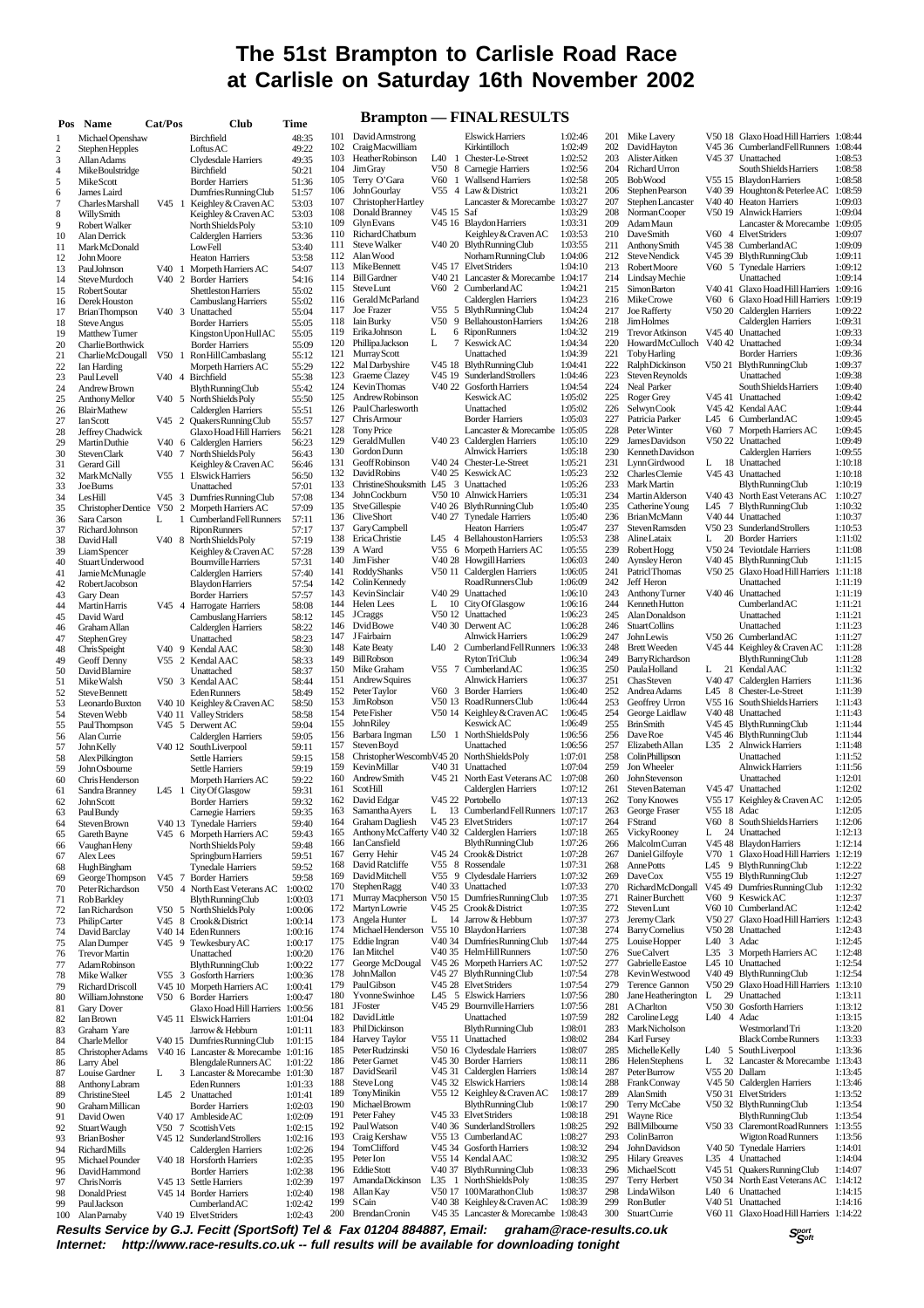# **The 51st Brampton to Carlisle Road Race at Carlisle on Saturday 16th November 2002**

# **Brompton — FINAL DESIH TS**

| Pos                 | Name                                      | Cat/Pos           | <b>Club</b>                                             | Time               |            |                                                                |                    | - LINALINEDULLO                                            |                    |            |                                              |                    |                                                                    |                    |  |
|---------------------|-------------------------------------------|-------------------|---------------------------------------------------------|--------------------|------------|----------------------------------------------------------------|--------------------|------------------------------------------------------------|--------------------|------------|----------------------------------------------|--------------------|--------------------------------------------------------------------|--------------------|--|
|                     | Michael Openshaw                          |                   | Birchfield                                              | 48:35              | 101        | David Armstrong                                                |                    | <b>Elswick Harriers</b>                                    | 1:02:46            |            | 201 Mike Lavery                              |                    | V50 18 Glaxo Hoad Hill Harriers 1:08:44                            |                    |  |
| $\overline{c}$      | Stephen Hepples                           |                   | LoftusAC                                                | 49:22              | 102<br>103 | CraigMacwilliam<br>Heather Robinson                            |                    | Kirkintilloch<br>L40 1 Chester-Le-Street                   | 1:02:49<br>1:02:52 | 202<br>203 | DavidHayton<br>Alister Aitken                |                    | V45 36 Cumberland Fell Runners 1:08:44<br>V45 37 Unattached        | 1:08:53            |  |
| 3<br>$\overline{4}$ | Allan Adams<br>Mike Boulstridge           |                   | Clydesdale Harriers<br>Birchfield                       | 49:35<br>50:21     | 104        | <b>JimGray</b>                                                 | V50                | 8 Carnegie Harriers                                        | 1:02:56            | 204        | <b>Richard Urron</b>                         |                    | South Shields Harriers                                             | 1:08:58            |  |
| 5                   | <b>MikeScott</b>                          |                   | <b>Border Harriers</b>                                  | 51:36              | 105        | Terry O'Gara                                                   |                    | V60 1 Wallsend Harriers                                    | 1:02:58            | 205        | <b>BobWood</b>                               |                    | V55 15 Blaydon Harriers                                            | 1:08:58            |  |
| 6                   | James Laird                               |                   | Dumfries Running Club                                   | 51:57              | 106        | JohnGourlay                                                    |                    | V55 4 Law & District                                       | 1:03:21            | 206        | Stephen Pearson                              |                    | V40 39 Houghton & Peterlee AC                                      | 1:08:59            |  |
| 7                   | Charles Marshall                          | V45               | Keighley & Craven AC                                    | 53:03              | 107        | Christopher Hartley                                            |                    | Lancaster & Morecambe 1:03:27                              |                    | 207        | Stephen Lancaster                            |                    | V40 40 Heaton Harriers                                             | 1:09:03            |  |
| 8                   | WillySmith                                |                   | Keighley & Craven AC                                    | 53:03              | 108<br>109 | Donald Branney<br>GlynEvans                                    | V45 15 Saf         | V45 16 Blaydon Harriers                                    | 1:03:29<br>1:03:31 | 208<br>209 | Norman Cooper<br><b>AdamMaun</b>             |                    | V50 19 Alnwick Harriers<br>Lancaster & Morecambe 1:09:05           | 1:09:04            |  |
| 9<br>10             | Robert Walker<br>Alan Derrick             |                   | North Shields Poly<br>Calderglen Harriers               | 53:10<br>53:36     | 110        | Richard Chatburn                                               |                    | Keighley & Craven AC                                       | 1:03:53            | 210        | <b>DaveSmith</b>                             |                    | V60 4 ElvetStriders                                                | 1:09:07            |  |
| 11                  | Mark McDonald                             |                   | LowFell                                                 | 53:40              | 111        | <b>Steve Walker</b>                                            |                    | V40 20 BlythRunningClub                                    | 1:03:55            | 211        | Anthony Smith                                |                    | V45 38 Cumberland AC                                               | 1:09:09            |  |
| 12                  | <b>John Moore</b>                         |                   | <b>Heaton Harriers</b>                                  | 53:58              | 112        | Alan Wood                                                      |                    | Norham Running Club                                        | 1:04:06            | 212        | Steve Nendick                                |                    | V45 39 Blyth Running Club                                          | 1:09:11            |  |
| 13                  | PaulJohnson                               |                   | V40 1 Morpeth Harriers AC                               | 54:07              | 113        | Mike Bennett                                                   |                    | V45 17 ElvetStriders                                       | 1:04:10            | 213        | Robert Moore                                 |                    | V60 5 Tynedale Harriers                                            | 1:09:12            |  |
| 14                  | Steve Murdoch                             |                   | V40 2 Border Harriers                                   | 54:16              | 114<br>115 | <b>Bill Gardner</b><br>SteveLunt                               |                    | V40 21 Lancaster & Morecambe 1:04:17<br>V60 2 CumberlandAC | 1:04:21            | 214        | Lindsay Mechie<br><b>SimonBarton</b>         |                    | Unattached<br>V40 41 Glaxo Hoad Hill Harriers 1:09:16              | 1:09:14            |  |
| 15<br>16            | Robert Soutar<br>Derek Houston            |                   | Shettleston Harriers<br>Cambuslang Harriers             | 55:02<br>55:02     | 116        | Gerald McParland                                               |                    | Calderglen Harriers                                        | 1:04:23            | 215<br>216 | Mike Crowe                                   |                    | V60 6 Glaxo Hoad Hill Harriers 1:09:19                             |                    |  |
| 17                  | <b>Brian Thompson</b>                     |                   | V40 3 Unattached                                        | 55:04              | 117        | Joe Frazer                                                     |                    | V55 5 BlythRunningClub                                     | 1:04:24            | 217        | Joe Rafferty                                 |                    | V50 20 Calderglen Harriers                                         | 1:09:22            |  |
| 18                  | Steve Angus                               |                   | <b>Border Harriers</b>                                  | 55:05              | 118        | <b>Iain Burky</b>                                              | V50                | 9 Bellahouston Harriers                                    | 1:04:26            | 218        | JimHolmes                                    |                    | Calderglen Harriers                                                | 1:09:31            |  |
| 19                  | Matthew Turner                            |                   | Kingston Upon Hull AC                                   | 55:05              | 119        | ErikaJohnson                                                   | L                  | 6 RiponRunners                                             | 1:04:32            | 219        | <b>TrevorAtkinson</b>                        | V45 40             | Unattached                                                         | 1:09:33            |  |
| 20                  | Charlie Borthwick                         |                   | <b>Border Harriers</b>                                  | 55:09              | 120        | PhillipaJackson                                                | L<br>7             | Keswick AC                                                 | 1:04:34            | 220        | HowardMcCulloch V40 42                       |                    | Unattached                                                         | 1:09:34            |  |
| 21<br>22            | Charlie McDougall                         |                   | V50 1 RonHillCambaslang                                 | 55:12<br>55:29     | 121<br>122 | Murray Scott<br>Mal Darbyshire                                 |                    | Unattached<br>V45 18 BlythRunningClub                      | 1:04:39<br>1:04:41 | 221<br>222 | <b>Toby Harling</b><br><b>RalphDickinson</b> |                    | <b>Border Harriers</b><br>V50 21 BlythRunningClub                  | 1:09:36<br>1:09:37 |  |
| 23                  | Ian Harding<br>PaulLevell                 |                   | Morpeth Harriers AC<br>V40 4 Birchfield                 | 55:38              | 123        | Graeme Clazey                                                  | V <sub>45</sub> 19 | Sunderland Strollers                                       | 1:04:46            | 223        | Steven Reynolds                              |                    | Unattached                                                         | 1:09:38            |  |
| 24                  | Andrew Brown                              |                   | <b>Blyth Running Club</b>                               | 55:42              | 124        | <b>KevinThomas</b>                                             |                    | V40 22 Gosforth Harriers                                   | 1:04:54            | 224        | Neal Parker                                  |                    | South Shields Harriers                                             | 1:09:40            |  |
| 25                  | Anthony Mellor                            |                   | V40 5 North Shields Poly                                | 55:50              | 125        | Andrew Robinson                                                |                    | Keswick AC                                                 | 1:05:02            | 225        | Roger Grey                                   |                    | V45 41 Unattached                                                  | 1:09:42            |  |
| 26                  | BlairMathew                               |                   | Calderglen Harriers                                     | 55:51              | 126        | PaulCharlesworth                                               |                    | Unattached                                                 | 1:05:02            | 226        | SelwynCook                                   |                    | V45 42 Kendal AAC                                                  | 1:09:44            |  |
| 27                  | Ian Scott                                 |                   | V45 2 Quakers Running Club                              | 55:57              | 127<br>128 | Chris Armour<br><b>Tony Price</b>                              |                    | <b>Border Harriers</b><br>Lancaster & Morecambe 1:05:05    | 1:05:03            | 227<br>228 | Patricia Parker<br>Peter Winter              |                    | L45 6 Cumberland AC<br>V60 7 Morpeth Harriers AC                   | 1:09:45<br>1:09:45 |  |
| 28<br>29            | Jeffrey Chadwick<br>Martin Duthie         |                   | Glaxo Hoad Hill Harriers<br>V40 6 Calderglen Harriers   | 56:21<br>56:23     | 129        | Gerald Mullen                                                  |                    | V40 23 Calderglen Harriers                                 | 1:05:10            | 229        | James Davidson                               |                    | V50 22 Unattached                                                  | 1:09:49            |  |
| 30                  | <b>StevenClark</b>                        |                   | V40 7 North Shields Poly                                | 56:43              | 130        | Gordon Dunn                                                    |                    | Alnwick Harriers                                           | 1:05:18            | 230        | <b>KennethDavidson</b>                       |                    | Calderglen Harriers                                                | 1:09:55            |  |
| 31                  | Gerard Gill                               |                   | Keighley & Craven AC                                    | 56:46              | 131        | GeoffRobinson                                                  |                    | V40 24 Chester-Le-Street                                   | 1:05:21            | 231        | Lynn Girdwood                                | L                  | 18 Unattached                                                      | 1:10:18            |  |
| 32                  | Mark McNally                              |                   | V55 1 Elswick Harriers                                  | 56:50              | 132        | DavidRobins                                                    |                    | V40 25 Keswick AC                                          | 1:05:23            | 232        | Charles Clemie                               | V <sub>45</sub> 43 | Unattached                                                         | 1:10:18            |  |
| 33                  | <b>Joe Burns</b>                          |                   | Unattached                                              | 57:01              | 133<br>134 | ChristineShouksmith L45 3 Unattached                           |                    |                                                            | 1:05:26            | 233        | <b>Mark Martin</b>                           |                    | <b>BlythRunningClub</b>                                            | 1:10:19            |  |
| 34<br>35            | LesHill                                   |                   | V45 3 DumfriesRunningClub<br>V50 2 Morpeth Harriers AC  | 57:08<br>57:09     | 135        | John Cockburn<br><b>StveGillespie</b>                          |                    | V50 10 Alnwick Harriers<br>V40 26 BlythRunningClub         | 1:05:31<br>1:05:40 | 234<br>235 | Martin Alderson<br>Catherine Young           |                    | V40 43 North East Veterans AC<br>L45 7 BlythRunningClub            | 1:10:27<br>1:10:32 |  |
| 36                  | <b>Christopher Dentice</b><br>Sara Carson | L<br>1            | Cumberland Fell Runners                                 | 57:11              | 136        | <b>CliveShort</b>                                              |                    | V40 27 Tynedale Harriers                                   | 1:05:40            | 236        | <b>BrianMcMann</b>                           |                    | V40 44 Unattached                                                  | 1:10:37            |  |
| 37                  | Richard Johnson                           |                   | <b>Ripon Runners</b>                                    | 57:17              | 137        | Gary Campbell                                                  |                    | <b>Heaton Harriers</b>                                     | 1:05:47            | 237        | Steven Ramsden                               |                    | V50 23 Sunderland Strollers                                        | 1:10:53            |  |
| 38                  | David Hall                                | V <sub>40</sub> 8 | North Shields Poly                                      | 57:19              | 138        | EricaChristie                                                  | L45                | 4 Bellahouston Harriers                                    | 1:05:53            | 238        | AlineLataix                                  | L                  | 20 Border Harriers                                                 | 1:11:02            |  |
| 39                  | Liam Spencer                              |                   | Keighley & Craven AC                                    | 57:28              | 139        | A Ward                                                         |                    | V55 6 Morpeth Harriers AC                                  | 1:05:55            | 239        | Robert Hogg                                  |                    | V50 24 Teviotdale Harriers                                         | 1:11:08            |  |
| 40                  | Stuart Underwood                          |                   | <b>Bournville Harriers</b>                              | 57:31              | 140<br>141 | Jim Fisher<br>Roddy Shanks                                     |                    | V40 28 Howgill Harriers<br>V50 11 Calderglen Harriers      | 1:06:03<br>1:06:05 | 240<br>241 | Aynsley Heron<br>PatriclThomas               |                    | V40 45 BlythRunningClub<br>V50 25 Glaxo Hoad Hill Harriers 1:11:18 | 1:11:15            |  |
| 41<br>42            | Jamie McMunagle<br>Robert Jacobson        |                   | Calderglen Harriers<br><b>Blaydon Harriers</b>          | 57:40<br>57:54     | 142        | Colin Kennedy                                                  |                    | Road Runners Club                                          | 1:06:09            | 242        | Jeff Heron                                   |                    | Unattached                                                         | 1:11:19            |  |
| 43                  | Gary Dean                                 |                   | <b>Border Harriers</b>                                  | 57:57              | 143        | Kevin Sinclair                                                 |                    | V40 29 Unattached                                          | 1:06:10            | 243        | Anthony Turner                               | V <sub>40</sub> 46 | Unattached                                                         | 1:11:19            |  |
| 44                  | Martin Harris                             |                   | V45 4 Harrogate Harriers                                | 58:08              | 144        | Helen Lees                                                     |                    | L 10 City Of Glasgow                                       | 1:06:16            | 244        | <b>KennethHutton</b>                         |                    | CumberlandAC                                                       | 1:11:21            |  |
| 45                  | David Ward                                |                   | Cambuslang Harriers                                     | 58:12              | 145        | <b>J</b> Craggs                                                |                    | V50 12 Unattached                                          | 1:06:23            | 245        | Alan Donaldson                               |                    | Unattached                                                         | 1:11:21            |  |
| 46                  | Graham Allan                              |                   | Calderglen Harriers                                     | 58:22              | 146<br>147 | <b>DvidBowe</b><br>J Fairbairn                                 |                    | V40 30 Derwent AC<br><b>Alnwick Harriers</b>               | 1:06:28<br>1:06:29 | 246<br>247 | <b>StuartCollins</b><br>JohnLewis            |                    | Unattached<br>V50 26 CumberlandAC                                  | 1:11:23<br>1:11:27 |  |
| 47<br>48            | Stephen Grey<br><b>Chris</b> Speight      |                   | Unattached<br>V40 9 Kendal AAC                          | 58:23<br>58:30     | 148        | <b>Kate Beaty</b>                                              |                    | L40 2 Cumberland Fell Runners 1:06:33                      |                    | 248        | <b>Brett Weeden</b>                          |                    | V45 44 Keighley & Craven AC                                        | 1:11:28            |  |
| 49                  | Geoff Denny                               |                   | V55 2 Kendal AAC                                        | 58:33              | 149        | BillRobson                                                     |                    | <b>RytonTriClub</b>                                        | 1:06:34            | 249        | Barry Richardson                             |                    | <b>BlythRunningClub</b>                                            | 1:11:28            |  |
| 50                  | David Blamire                             |                   | Unattached                                              | 58:37              | 150        | Mike Graham                                                    |                    | V55 7 CumberlandAC                                         | 1:06:35            | 250        | PaulaHolland                                 | L                  | 21 Kendal AAC                                                      | 1:11:32            |  |
| 51                  | Mike Walsh                                |                   | V50 3 Kendal AAC                                        | 58:44              | 151        | Andrew Squires                                                 |                    | Alnwick Harriers                                           | 1:06:37            | 251        | <b>ChasSteven</b>                            |                    | V40 47 Calderglen Harriers                                         | 1:11:36            |  |
| 52                  | Steve Bennett                             |                   | <b>Eden Runners</b>                                     | 58:49              | 152        | Peter Taylor                                                   |                    | V60 3 Border Harriers                                      | 1:06:40            | 252        | Andrea Adams                                 |                    | L45 8 Chester-Le-Street                                            | 1:11:39            |  |
| 53<br>54            | Leonardo Buxton                           |                   | V40 10 Keighley & Craven AC                             | 58:50<br>58:58     | 153<br>154 | JimRobson<br>Pete Fisher                                       |                    | V50 13 Road Runners Club<br>V50 14 Keighley & Craven AC    | 1:06:44<br>1:06:45 | 253<br>254 | Geoffrey Urron<br>George Laidlaw             |                    | V55 16 South Shields Harriers<br>V40 48 Unattached                 | 1:11:43<br>1:11:43 |  |
| 55                  | Steven Webb<br>PaulThompson               |                   | V40 11 Valley Striders<br>V45 5 Derwent AC              | 59:04              | 155        | JohnRiley                                                      |                    | Keswick AC                                                 | 1:06:49            | 255        | <b>BrinSmith</b>                             |                    | V45 45 BlythRunningClub                                            | 1:11:44            |  |
| 56                  | Alan Currie                               |                   | Calderglen Harriers                                     | 59:05              | 156        | Barbara Ingman                                                 | $L50$ 1            | North Shields Poly                                         | 1:06:56            | 256        | Dave Roe                                     |                    | V45 46 BlythRunningClub                                            | 1:11:44            |  |
| 57                  | John Kelly                                |                   | V40 12 SouthLiverpool                                   | 59:11              | 157        | Steven Boyd                                                    |                    | Unattached                                                 | 1:06:56            | 257        | Elizabeth Allan                              |                    | L35 2 Alnwick Harriers                                             | 1:11:48            |  |
| 58                  | Alex Pilkington                           |                   | <b>Settle Harriers</b>                                  | 59:15              | 158        | Christopher WescombV45 20 North Shields Poly                   |                    |                                                            | 1:07:01            | 258        | <b>Colin Phillipson</b>                      |                    | Unattached                                                         | 1:11:52            |  |
| 59                  | John Osbourne                             |                   | Settle Harriers                                         | 59:19              | 159<br>160 | Kevin Millar<br>Andrew Smith                                   |                    | V40 31 Unattached<br>V45 21 North East Veterans AC         | 1:07:04<br>1:07:08 | 259<br>260 | Jon Wheeler<br>JohnStevenson                 |                    | <b>Alnwick Harriers</b><br>Unattached                              | 1:11:56<br>1:12:01 |  |
| 60<br>61            | <b>ChrisHenderson</b><br>Sandra Branney   | $L45$ 1           | Morpeth Harriers AC<br>City Of Glasgow                  | 59:22<br>59:31     | 161        | ScotHill                                                       |                    | Calderglen Harriers                                        | 1:07:12            | 261        | Steven Bateman                               |                    | V45 47 Unattached                                                  | 1:12:02            |  |
| 62                  | JohnScott                                 |                   | <b>Border Harriers</b>                                  | 59:32              | 162        | David Edgar                                                    |                    | V45 22 Portobello                                          | 1:07:13            | 262        | <b>Tony Knowes</b>                           |                    | V55 17 Keighley & Craven AC                                        | 1:12:05            |  |
| 63                  | Paul Bundy                                |                   | Carnegie Harriers                                       | 59:35              |            | 163 Samantha Avers                                             |                    | L 13 Cumberland Fell Runners 1:07:17                       |                    | 263        | George Fraser                                | V55 18 Adac        |                                                                    | 1:12:05            |  |
| 64                  | Steven Brown                              |                   | V40 13 Tynedale Harriers                                | 59:40              | 164        | <b>Graham Dagliesh</b>                                         |                    | V45 23 Elvet Striders                                      | 1:07:17            | 264        | FStrand                                      | V60                | 8 South Shields Harriers                                           | 1:12:06            |  |
| 65                  | Gareth Bayne                              |                   | V45 6 Morpeth Harriers AC                               | 59:43              | 165<br>166 | Anthony McCafferty V40 32 Calderglen Harriers<br>Ian Cansfield |                    | <b>BlythRunningClub</b>                                    | 1:07:18<br>1:07:26 | 265<br>266 | <b>Vicky Rooney</b><br><b>Malcolm</b> Curran | L                  | 24 Unattached<br>V45 48 Blaydon Harriers                           | 1:12:13<br>1:12:14 |  |
| 66<br>67            | Vaughan Heny<br>Alex Lees                 |                   | North Shields Poly<br>Springburn Harriers               | 59:48<br>59:51     | 167        | Gerry Hehir                                                    |                    | V45 24 Crook & District                                    | 1:07:28            | 267        | Daniel Gilfoyle                              |                    | V70 1 Glaxo Hoad Hill Harriers 1:12:19                             |                    |  |
| 68                  | HughBingham                               |                   | <b>Tynedale Harriers</b>                                | 59:52              | 168        | David Ratcliffe                                                |                    | V55 8 Rossendale                                           | 1:07:31            | 268        | <b>AnnePotts</b>                             |                    | L45 9 BlythRunningClub                                             | 1:12:22            |  |
| 69                  | George Thompson                           |                   | V45 7 Border Harriers                                   | 59:58              | 169        | DavidMitchell                                                  |                    | V55 9 Clydesdale Harriers                                  | 1:07:32            | 269        | DaveCox                                      |                    | V55 19 BlythRunningClub                                            | 1:12:27            |  |
| 70                  | Peter Richardson                          |                   | V50 4 North East Veterans AC                            | 1:00:02            | 170        | <b>Stephen Ragg</b>                                            |                    | V40 33 Unattached                                          | 1:07:33            | 270        |                                              |                    | RichardMcDongall V45 49 DumfriesRunningClub                        | 1:12:32            |  |
| 71                  | <b>RobBarkley</b>                         |                   | <b>Blyth Running Club</b>                               | 1:00:03            | 171        |                                                                |                    | Murray Macpherson V50 15 Dumfries Running Club             | 1:07:35            | 271        | Rainer Burchett                              |                    | V60 9 Keswick AC<br>V60 10 CumberlandAC                            | 1:12:37            |  |
| 72                  | Ian Richardson<br>PhilipCarter            | V50               | 5 North Shields Poly                                    | 1:00:06            | 172<br>173 | MartynLowrie<br>Angela Hunter                                  | L                  | V45 25 Crook & District<br>14 Jarrow & Hebburn             | 1:07:35<br>1:07:37 | 272<br>273 | StevenLunt<br>Jeremy Clark                   |                    | V50 27 Glaxo Hoad Hill Harriers 1:12:43                            | 1:12:42            |  |
| 73<br>74            | David Barclay                             |                   | V45 8 Crook & District<br>V40 14 Eden Runners           | 1:00:14<br>1:00:16 | 174        | Michael Henderson                                              |                    | V55 10 Blaydon Harriers                                    | 1:07:38            | 274        | <b>Barry Cornelius</b>                       |                    | V50 28 Unattached                                                  | 1:12:43            |  |
| 75                  | Alan Dumper                               |                   | V45 9 Tewkesbury AC                                     | 1:00:17            | 175        | Eddie Ingran                                                   |                    | V40 34 DumfriesRunningClub                                 | 1:07:44            | 275        | Louise Hopper                                | L40 3 Adac         |                                                                    | 1:12:45            |  |
| 76                  | <b>Trevor Martin</b>                      |                   | Unattached                                              | 1:00:20            | 176        | Ian Mitchel                                                    |                    | V40 35 HelmHillRunners                                     | 1:07:50            | 276        | Sue Calvert                                  |                    | L35 3 Morpeth Harriers AC                                          | 1:12:48            |  |
| 77                  | AdamRobinson                              |                   | <b>Blyth Running Club</b>                               | 1:00:22            | 177        | George McDougal                                                |                    | V45 26 Morpeth Harriers AC                                 | 1:07:52            | 277        | Gabrielle Eastoe                             |                    | L45 10 Unattached                                                  | 1:12:54            |  |
| 78                  | Mike Walker                               |                   | V55 3 Gosforth Harriers                                 | 1:00:36            | 178<br>179 | JohnMallon<br>Paul Gibson                                      |                    | V45 27 BlythRunningClub<br>V45 28 Elvet Striders           | 1:07:54<br>1:07:54 | 278<br>279 | Kevin Westwood<br>Terence Gannon             |                    | V40 49 BlythRunningClub<br>V50 29 Glaxo Hoad Hill Harriers 1:13:10 | 1:12:54            |  |
| 79<br>80            | Richard Driscoll<br>William Johnstone     |                   | V45 10 Morpeth Harriers AC<br>V50 6 Border Harriers     | 1:00:41<br>1:00:47 | 180        | Yvonne Swinhoe                                                 |                    | L45 5 Elswick Harriers                                     | 1:07:56            | 280        | Jane Heatherington                           | L                  | 29 Unattached                                                      | 1:13:11            |  |
| 81                  | Gary Dover                                |                   | Glaxo Hoad Hill Harriers 1:00:56                        |                    | 181        | <b>JF</b> oster                                                |                    | V45 29 Bournville Harriers                                 | 1:07:56            | 281        | <b>A</b> Charlton                            |                    | V50 30 Gosforth Harriers                                           | 1:13:12            |  |
| 82                  | Ian Brown                                 |                   | V45 11 Elswick Harriers                                 | 1:01:04            | 182        | DavidLittle                                                    |                    | Unattached                                                 | 1:07:59            | 282        | Caroline Legg                                | L40 4 Adac         |                                                                    | 1:13:15            |  |
| 83                  | Graham Yare                               |                   | Jarrow & Hebburn                                        | 1:01:11            | 183        | PhilDickinson                                                  |                    | <b>BlythRunningClub</b>                                    | 1:08:01            | 283        | Mark Nicholson                               |                    | Westmorland Tri                                                    | 1:13:20            |  |
| 84                  | Charle Mellor                             |                   | V40 15 Dumfries Running Club                            | 1:01:15            | 184        | <b>Harvey Taylor</b>                                           |                    | V55 11 Unattached                                          | 1:08:02            | 284        | <b>Karl Fursey</b>                           |                    | <b>BlackCombeRunners</b>                                           | 1:13:33            |  |
| 85                  | Christopher Adams                         |                   | V40 16 Lancaster & Morecambe 1:01:16                    |                    | 185<br>186 | Peter Rudzinski<br>Peter Garnet                                |                    | V50 16 Clydesdale Harriers<br>V45 30 Border Harriers       | 1:08:07<br>1:08:11 | 285<br>286 | Michelle Kelly<br>Helen Stephens             | L                  | L40 5 SouthLiverpool<br>32 Lancaster & Morecambe 1:13:43           | 1:13:36            |  |
| 86<br>87            | Larry Abel<br>Louise Gardner              | L                 | Blengdale Runners AC<br>3 Lancaster & Morecambe 1:01:30 | 1:01:22            | 187        | David Searil                                                   |                    | V45 31 Calderglen Harriers                                 | 1:08:14            | 287        | Peter Burrow                                 | V55 20 Dallam      |                                                                    | 1:13:45            |  |
| 88                  | Anthony Labram                            |                   | <b>Eden Runners</b>                                     | 1:01:33            | 188        | SteveLong                                                      |                    | V45 32 Elswick Harriers                                    | 1:08:14            | 288        | FrankConway                                  |                    | V45 50 Calderglen Harriers                                         | 1:13:46            |  |
| 89                  | Christine Steel                           | L45 2             | Unattached                                              | 1:01:41            | 189        | TonyMinikin                                                    |                    | V55 12 Keighley & Craven AC                                | 1:08:17            | 289        | <b>AlanSmith</b>                             |                    | V50 31 ElvetStriders                                               | 1:13:52            |  |
| 90                  | Graham Millican                           |                   | <b>Border Harriers</b>                                  | 1:02:03            | 190        | Michael Browm                                                  |                    | <b>Blyth Running Club</b>                                  | 1:08:17            | 290        | Terry McCabe                                 |                    | V50 32 BlythRunningClub                                            | 1:13:54            |  |
| 91                  | David Owen                                |                   | V40 17 Ambleside AC                                     | 1:02:09            | 191<br>192 | Peter Fahey<br>Paul Watson                                     |                    | V45 33 ElvetStriders<br>V40 36 SunderlandStrollers         | 1:08:18<br>1:08:25 | 291<br>292 | Wayne Rice<br>BillMilbourne                  | V50 33             | <b>BlythRunningClub</b><br>Claremont Road Runners                  | 1:13:54            |  |
| 92<br>93            | Stuart Waugh<br><b>Brian Bosher</b>       |                   | V50 7 Scottish Vets<br>V45 12 Sunderland Strollers      | 1:02:15<br>1:02:16 | 193        | Craig Kershaw                                                  |                    | V55 13 CumberlandAC                                        | 1:08:27            | 293        | Colin Barron                                 |                    | Wigton Road Runners                                                | 1:13:55<br>1:13:56 |  |
| 94                  | <b>RichardMills</b>                       |                   | Calderglen Harriers                                     | 1:02:26            | 194        | TomClifford                                                    |                    | V45 34 Gosforth Harriers                                   | 1:08:32            | 294        | JohnDavidson                                 |                    | V40 50 Tynedale Harriers                                           | 1:14:01            |  |
| 95                  | Michael Pounder                           |                   | V40 18 Horsforth Harriers                               | 1:02:35            | 195        | Peter Ion                                                      |                    | V55 14 Kendal AAC                                          | 1:08:32            | 295        | <b>Hilary Greaves</b>                        |                    | L35 4 Unattached                                                   | 1:14:04            |  |
| 96                  | David Hammond                             |                   | <b>Border Harriers</b>                                  | 1:02:38            | 196        | <b>Eddie Stott</b>                                             |                    | V40 37 BlythRunningClub                                    | 1:08:33            | 296        | MichaelScott                                 |                    | V45 51 Quakers Running Club                                        | 1:14:07            |  |
| 97                  | Chris Norris                              |                   | V45 13 Settle Harriers                                  | 1:02:39            | 197        | Amanda Dickinson                                               |                    | L35 1 North Shields Poly                                   | 1:08:35            | 297        | Terry Herbert                                |                    | V50 34 North East Veterans AC                                      | 1:14:12            |  |
| 98                  | DonaldPriest                              |                   | V45 14 Border Harriers                                  | 1:02:40            | 198<br>199 | Allan Kay<br>SCain                                             |                    | V50 17 100MarathonClub<br>V40 38 Keighley & Craven AC      | 1:08:37<br>1:08:39 | 298<br>299 | Linda Wilson<br><b>Ron Butler</b>            |                    | L40 6 Unattached<br>V40 51 Unattached                              | 1:14:15<br>1:14:16 |  |
| 99<br>100           | PaulJackson<br>Alan Parnaby               |                   | CumberlandAC<br>V40 19 ElvetStriders                    | 1:02:42<br>1:02:43 | 200        | Brendan Cronin                                                 |                    | V45 35 Lancaster & Morecambe 1:08:43                       |                    | 300        | Stuart Currie                                |                    | V60 11 Glaxo Hoad Hill Harriers 1:14:22                            |                    |  |
|                     |                                           |                   |                                                         |                    |            |                                                                |                    |                                                            |                    |            |                                              |                    |                                                                    |                    |  |

**Results Service by G.J. Fecitt (SportSoft) Tel & Fax 01204 884887, Email: graham@race-results.co.uk Internet: http://www.race-results.co.uk -- full results will be available for downloading tonight** 200 Brendan Cronin V45 35 Lancaster & Morecambe 1:08:43 V40 50 Tynedale Harriers 1:14:01<br>
L35 4 Unattached 1:14:04<br>
V45 51 Ouakers Running Club 1:14:07 297 Terry Herbert V50 34 North East Veterans AC 1:14:12 298 Linda Wilson L40 6 Unattached 1:14:15 299 Ron Butler V40 51 Unattached 1:14:16 V60 11 Glaxo Hoad Hill Harriers 1:14:22

**<sup>S</sup>port Soft**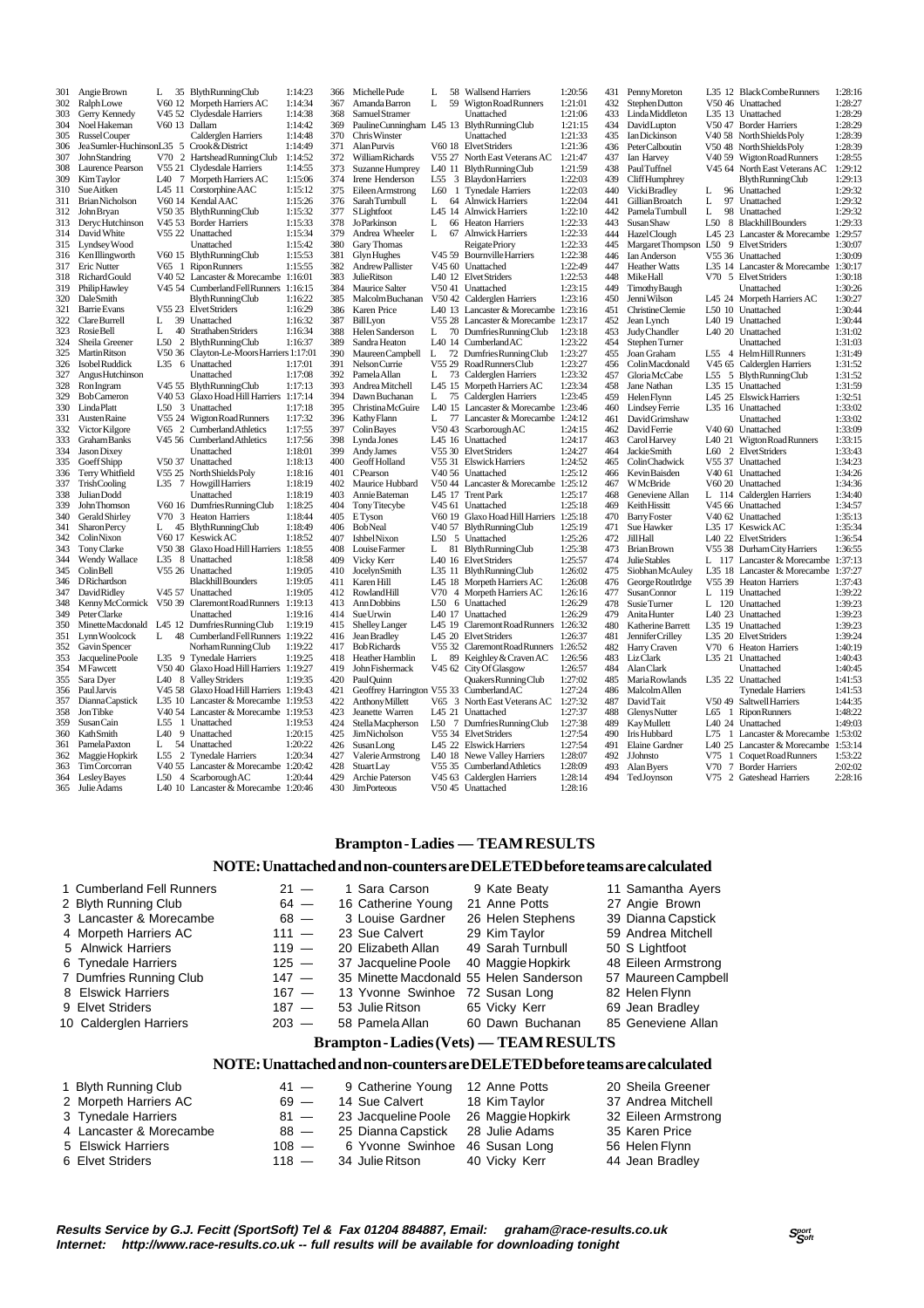| 301 | Angie Brown            | L               |    | 35 BlythRunningClub                      | 1:14:23 |
|-----|------------------------|-----------------|----|------------------------------------------|---------|
|     |                        |                 |    |                                          |         |
| 302 | RalphLowe              |                 |    | V60 12 Morpeth Harriers AC               | 1:14:34 |
| 303 | Gerry Kennedy          |                 |    | V45 52 Clydesdale Harriers               | 1:14:38 |
| 304 | Noel Hakeman           |                 |    | V60 13 Dallam                            | 1:14:42 |
| 305 | Russel Couper          |                 |    | Calderglen Harriers                      | 1:14:48 |
| 306 | JeaSumler-HuchinsonL35 |                 | 5  | Crook & District                         | 1:14:49 |
| 307 | <b>John Standring</b>  | V70             |    | 2 Hartshead Running Club                 | 1:14:52 |
| 308 | Laurence Pearson       |                 |    | V55 21 Clydesdale Harriers               | 1:14:55 |
| 309 | Kim Taylor             | L40             | 7  | Morpeth Harriers AC                      | 1:15:06 |
| 310 | Sue Aitken             |                 |    | L45 11 Corstorphine AAC                  | 1:15:12 |
| 311 | <b>Brian Nicholson</b> |                 |    | V60 14 Kendal AAC                        | 1:15:26 |
| 312 | John Bryan             | V50 35          |    | <b>BlythRunningClub</b>                  | 1:15:32 |
| 313 |                        |                 |    |                                          |         |
|     | Deryc Hutchinson       | V45 53          |    | <b>Border Harriers</b>                   | 1:15:33 |
| 314 | David White            |                 |    | V55 22 Unattached                        | 1:15:34 |
| 315 | Lyndsey Wood           |                 |    | Unattached                               | 1:15:42 |
| 316 | Ken Illingworth        | V60 15          |    | Blyth Running Club                       | 1:15:53 |
| 317 | Eric Nutter            | V65             | 1  | <b>Ripon Runners</b>                     | 1:15:55 |
| 318 | Richard Gould          |                 |    | V40 52 Lancaster & Morecambe 1:16:01     |         |
| 319 | PhilipHawley           |                 |    | V45 54 CumberlandFellRunners             | 1:16:15 |
| 320 | DaleSmith              |                 |    | <b>BlythRunningClub</b>                  | 1:16:22 |
| 321 | <b>Barrie Evans</b>    |                 |    | V55 23 Elvet Striders                    | 1:16:29 |
| 322 | Clare Burrell          | L               | 39 | Unattached                               | 1:16:32 |
| 323 | Rosie Bell             | L               |    | 40 Strathaben Striders                   | 1:16:34 |
| 324 | Sheila Greener         | L50             |    | 2 BlythRunningClub                       | 1:16:37 |
| 325 |                        |                 |    |                                          |         |
|     | <b>Martin Ritson</b>   |                 |    | V50 36 Clayton-Le-Moors Harriers 1:17:01 |         |
| 326 | <b>IsobelRuddick</b>   | L35             |    | 6 Unattached                             | 1:17:01 |
| 327 | Angus Hutchinson       |                 |    | Unattached                               | 1:17:08 |
| 328 | <b>RonIngram</b>       | V45 55          |    | <b>BlythRunningClub</b>                  | 1:17:13 |
| 329 | <b>BobCameron</b>      |                 |    | V40 53 Glaxo Hoad Hill Harriers          | 1:17:14 |
| 330 | <b>LindaPlatt</b>      | L50             |    | 3 Unattached                             | 1:17:18 |
| 331 | Austen Raine           | V55 24          |    | Wigton Road Runners                      | 1:17:32 |
| 332 | Victor Kilgore         |                 |    | V65 2 Cumberland Athletics               | 1:17:55 |
| 333 | Graham Banks           |                 |    | V45 56 Cumberland Athletics              | 1:17:56 |
| 334 | Jason Dixey            |                 |    | Unattached                               | 1:18:01 |
| 335 | GoeffShipp             | V50 37          |    | Unattached                               | 1:18:13 |
| 336 | Terry Whitfield        | V55 25          |    | North Shields Poly                       | 1:18:16 |
| 337 | TrishCooling           |                 | 7  |                                          |         |
|     |                        | L35             |    | <b>Howgill Harriers</b>                  | 1:18:19 |
| 338 | Julian Dodd            |                 |    | Unattached                               | 1:18:19 |
| 339 | John Thomson           |                 |    | V60 16 DumfriesRunningClub               | 1:18:25 |
| 340 | Gerald Shirley         |                 |    | V70 3 Heaton Harriers                    | 1:18:44 |
| 341 | Sharon Percy           | L               |    | 45 Blyth Running Club                    | 1:18:49 |
| 342 | ColinNixon             |                 |    | V60 17 Keswick AC                        | 1:18:52 |
| 343 | Tony Clarke            |                 |    | V50 38 Glaxo Hoad Hill Harriers          | 1:18:55 |
| 344 | Wendy Wallace          | L35             |    | 8 Unattached                             | 1:18:58 |
| 345 | ColinBell              | V55 26          |    | Unattached                               | 1:19:05 |
| 346 | <b>DRichardson</b>     |                 |    | <b>Blackhill Bounders</b>                | 1:19:05 |
| 347 | DavidRidley            | V45 57          |    | Unattached                               | 1:19:05 |
| 348 | Kenny McCormick        | V50 39          |    | Claremont Road Runners                   | 1:19:13 |
| 349 |                        |                 |    |                                          |         |
| 350 | Peter Clarke           |                 |    | Unattached                               | 1:19:16 |
|     | Minette Macdonald      | L45 12          |    | DumfriesRunningClub                      | 1:19:19 |
| 351 | Lynn Woolcock          | L               |    | 48 Cumberland Fell Runners               | 1:19:22 |
| 352 | Gavin Spencer          |                 |    | Norham Running Club                      | 1:19:22 |
| 353 | Jacqueline Poole       | L35             |    | 9 Tynedale Harriers                      | 1:19:25 |
| 354 | <b>MFawcett</b>        |                 |    | V50 40 Glaxo Hoad Hill Harriers          | 1:19:27 |
| 355 | Sara Dyer              | L40             |    | 8 Valley Striders                        | 1:19:35 |
| 356 | Paul Jarvis            |                 |    | V45 58 Glaxo Hoad Hill Harriers 1:19:43  |         |
| 357 | Dianna Capstick        |                 |    | L35 10 Lancaster & Morecambe 1:19:53     |         |
| 358 | <b>JonTibke</b>        |                 |    | V40 54 Lancaster & Morecambe             | 1:19:53 |
| 359 | Susan Cain             | L55             |    | 1 Unattached                             | 1:19:53 |
| 360 | KathSmith              | L40             |    | 9 Unattached                             | 1:20:15 |
| 361 | Pamela Paxton          |                 |    | 54 Unattached                            | 1:20:22 |
|     |                        | L               |    |                                          |         |
| 362 | Maggie Hopkirk         | L <sub>55</sub> |    | 2 Tynedale Harriers                      | 1:20:34 |
| 363 | <b>TimCorcorran</b>    |                 |    | V40 55 Lancaster & Morecambe 1:20:42     |         |
| 364 | Lesley Bayes           | L50             |    | 4 Scarborough AC                         | 1:20:44 |
| 365 | Julie Adams            |                 |    | L40 10 Lancaster & Morecambe             | 1:20:46 |

366 Michelle Pude L 58 Wallsend Harriers 1:20:56<br>367 Amanda Barron J 59 Wigton Road Punners 1:21:01 367 Amanda Barron L 59 Wigton Road Runners 1:21:01 368 Samuel Stramer Unattached 1:21:06<br>368 Samuel Stramer Unattached 1:21:06<br>369 Pauline Cunningham L45 13 Blyth Running Club 1:21:15 369 Pauline Cunningham L45 13 Blyth Running Club 1:21:15<br>370 Chris Winster Unattached 1:21:33 370 Chris Winster Unattached 1:21:33<br>371 Alan Purvis V60 18 Elvet Striders 1:21:36 371 Alan Purvis V60 18 Elvet Striders 1:21:36<br>372 William Richards V55 27 North East Veterans AC 1:21:47 372 William Richards V55 27 North East Veterans AC 1:21:47 373 Suzanne Humprey L40 11 Blyth Running Club 1:21:59 374 Irene Henderson L55 3 Blaydon Harriers 1:22:03<br>375 Eileen Armstrong L60 1 Tynedale Harriers 1:22:03 375 Eileen Armstrong L60 1 Tynedale Harriers 1:22:03 376 Sarah Turnbull L 64 Alnwick Harriers 1:22:04<br>377 SI johtfoot L 45 14 Alnwick Harriers 1:22:10 377 S Lightfoot L45 14 Alnwick Harriers 1:22:10<br>378 JoParkinson L 66 Heaton Harriers 1:22:33 378 Johann Ley 14 Harriers 1:22:33<br>378 JoParkinson L 66 Heaton Harriers 1:22:33<br>379 Andrea Wheeler L 67 Alnwick Harriers 1:22:33 379 Andrea Wheeler L 67 Alnwick Harriers 1:22:33 380 Gary Thomas Reigate Priory 1:22:33<br>381 Glyn Hughes V45.59 Bournville Harriers 1:22:33 381 Glyn Hughes V45 59 Bournville Harriers 1:22:38 382 Andrew Pallister V45 60 Unattached 1:22:49<br>383 Andrew Pallister V45 60 Unattached 1:22:49<br>383 Inlie Ritson I 40 12 Elvet Striders 1:22:53 383 Julie Ritson L40 12 Elvet Striders 1:22:53 384 Maurice Salter V50 41 Unattached 1:23:15<br>385 Malcolm Buchanan V50 42 Calderglen Harriers 1:23:16 385 Malcolm Buchanan V50 42 Calderglen Harriers 1:23:16 386 Karen Price L40 13 Lancaster & Morecambe 1:23:16<br>387 Bill von US5.28 Lancaster & Morecambe 1:23:16 387 Bill Lyon V55 28 Lancaster & Morecambe 1:23:17 388 Helen Sanderson L 70 Dumfries Running Club 1:23:18<br>389 Sandra Heaton L 40 14 Cumberland AC 1:23:23 389 Sandra Heaton L40 14 Cumberland AC 1:23:22<br>390 Maureen Campbell L 72 Dumfries Running Club 1:23:27 390 Maureen Campbell L 72 Dumfries Running Club 1:23:27 391 Nelson Currie V55 29 Road Runners Club 1:23:27 392 Pamela Allan L 73 Calderglen Harriers 1:23:32 393 Andrea Mitchell L45 15 Morpeth Harriers AC 1:23:34 394 Dawn Buchanan L 75 Calderglen Harriers 1:23:45 395 Christina McGuire L40 15 Lancaster & Morecambe 1:23:46 396 Kathy Flam L 77 Lancaster & Morecambe 1:24:12<br>397 Colin Baves V50 43 Scarborough AC 1:24:15 397 Colin Bayes V50 43 Scarborough AC 1:24:15<br>398 Lynda Jones LAS 16 Unattached 1:24:17 398 Lynda Jones 145 16 Unattached 1:24:17<br>399 Andy James 155 30 Elvet Striders 1:24:27 399 Andy James V55 30 Elvet Striders 1:24:27<br>400 Geoff Holland V55 31 Elswick Harriers 1:24:52 400 Geoff Holland V55 31 Elswick Harriers 1:24:52<br>401 C Pearson V40 56 Unattached 1:25:12 401 C Pearson V40 56 Unattached 1:25:12<br>402 Maurice Hubbard V50 44 Lancaster & Morecambe 1:25:12 402 Maurice Hubbard V50 44 Lancaster & Morecambe 1:25:12<br>403 Annie Bateman 145 17 Trent Park 1:25:12 403 Annie Bateman L45 17 Trent Park 1:25:17 404 Tony Titecybe V45 61 Unattached 1:25:18<br>405 ETyson V60 19 Glaxo Hoad Hill Harriers 1:25:18 105 ETyson V60 19 Glaxo Hoad Hill Harriers 1:25:18<br>406 BobNeal V40 57 Blyth Running Club 1:25:19 406 Bob Neal <br>
407 Ishbel Nixon <br>
407 Ishbel Nixon <br>
407 Ishbel Nixon <br>
407 Ishbel Nixon <br>
407 Ishbel Nixon <br>
407 Ishbel Nixon <br>
407 Ishbel Nixon <br>
407 Ishbel Nixon <br>
407 Ishbel Nixon <br>
407 Ishbel Nixon <br>
408 Ishbel Nixon 407 Ishbel Nixon L50 5 Unattached 1:25:26<br>408 Louise Farmer L 81 Blyth Running Club 1:25:38 408 Louise Farmer L 81 Blyth Running Club 1:25:38<br>409 Vicky Kerr L40 16 Elvet Striders 1:25:57 409 Vicky Kerr L40 16 Elvet Striders 1:25:57<br>410 Jocelyn Smith L35 11 Blyth Running Club 1:26:02 410 Jocelyn Smith L35 11 Blyth Running Club 1:26:02<br>411 Karen Hill 145 18 Morneth Harriers AC 1:26:02 411 Karen Hill L45 18 Morpeth Harriers AC 1:26:08 412 Rowland Hill V70 4 Morpeth Harriers AC 1:26:16<br>413 Ann Dobbins 1.50 6 Unattached 1:26:29 413 Ann Dobbins L50 6 Unattached 1:26:29<br>414 Sue Urwin L40 17 Unattached 1:26:29 414 Sue Urwin L40 17 Unattached 1:26:29<br>415 Shelley Langer L45 19 Claremont Road Runners 1:26:32 415 Shelley Langer L45 19 Claremont Road Runners 1:26:32 L45 20 Elvet Striders 417 Bob Richards V55 32 Claremont Road Runners 1:26:52<br>418 Heather Hamblin L 89 Keighley & Craven AC 1:26:56 418 Heather Hamblin L 89 Keighley & Craven AC 1:26:56<br>419 John Fishermack V45 62 City Of Glasgow 1:26:57 419 John Fishermack V45 62 City Of Glasgow 1:26:57<br>420 Paul Ouinn Ouskers Running Club 1:27:02 420 Paul Quinn Quakers Running Club 1:27:02<br>421 Geoffrey Harrington V55 33 Cumberland AC 1:27:24 422 Anthony Marrington V55 33 Cumberland AC 1.27:24<br>422 Anthony Millett V65 3 North East Veterans AC 1.27:24<br>423 Jeanette Warren 1.45 21 Unattached 1.27:37 422 Anthony Millett V65 3 North East Veterans AC 1:27:32 423 Jeanette Warren L45 21 Unattached 1:27:37 424 StellaMacpherson  $L50$  7 Dumfries Running Club  $1:27:38$ <br>425 Jim Nicholson  $L50$  7 Dumfries Running Club  $1:27:38$ 425 Jim Nicholson V55 34 Elvet Striders 1:27:54<br>426 Susan I one L45 22 Elswick Harriers 1:27:54 426 SusanLong L45 22 Elswick Harriers 1:27:54<br>427 Valerie Armstrong L40 18 Newe Valley Harriers 1:28:07 427 Valerie Armstrong L40 18 Newe Valley Harriers 1:28:07 428 Stuart Lay 755 35 Cumberland Athletics 1:28:09<br>429 Archie Paterson 745 63 Calderglen Harriers 1:28:14 429 Archie Paterson V45 63 Calderglen Harriers 1:28:14<br>430 JimPorteous V50 45 Unattached 1:28:16 V50 45 Unattached

431 Penny Moreton L35 12 Black Combe Runners 1:28:16<br>432 Stephen Dutton V50 46 Unattached 1:28:27 432 Stephen Dutton V50 46 Unattached 1:28:27<br>433 Linda Middleton L35 13 Unattached 1:28:29 432 StephenDutton 250 46 Unattached 1:28:27<br>433 Linda Middleton 1.35 13 Unattached 1:28:29<br>434 DavidLupton 250 47 Border Harriers 1:28:29 434 David Lupton V50 47 Border Harriers 1:28:29<br>435 Ian Dickinson V40 58 North Shields Poly 1:28:39 435 Ian Dickinson V40 58 North Shields Poly 1:28:39<br>436 Peter Calboutin V50 48 North Shields Poly 1:28:39 436 Peter Calboutin 1950 48 North Shields Poly 1:28:39<br>437 Ian Harvey 1740 59 Wigton Road Runners 1:28:55 437 Ian Harvey V40 59 Wigton Road Runners 1:28:55<br>438 Paul Tuffnel V45 64 North East Veterans AC 1:29:12 438 Paul Tuffnel V45 64 North East Veterans AC 1:29:12 439 Cliff Humphrey Blyth Running Club 1:29:13<br>440 Vicki Bradley 1 96 Unattached 1:29:32 440 Vicki Bradley L 96 Unattached 1:29:32<br>441 Gillian Broatch L 97 Unattached 1:29:32 441 Gillian Broatch L 97 Unattached 1:29:32<br>442 Pamela Turnbull I 98 Unattached 1:29:32 442 Pamela Turnbull L 98 Unattached 1:29:32 443 Susan Shaw L50 8 Blackhill Bounders 1:29:33<br>444 Hazel Clouch L45 23 Lancaster & Morecambe 1:29:57 444 Hazel Clough L45 23 Lancaster & Morecambe 1:29:57 445 Margaret Thompson L50 9 Elvet Striders 1:30:07<br>446 Jan Anderson V55 36 Unattached 1:30:09 446 Ian Anderson V55 36 Unattached 1:30:09<br>447 Heather Watts L35 14 Lancaster & Morecambe 1:30:17 447 Heather Watts L35 14 Lancaster & Morecambe 1:30:17<br>448 Mike Hall V70 5 Elvet Striders 1:30:18 448 Mike Hall V70 5 Elvet Striders 1:30:18<br>449 Timothy Baugh Unattached 1:30:26 449 Timothy Baugh Unattached 1:30:26<br>450 Jenni Wilson 145 24 Morneth Harriers AC 1:30:27 450 Jenni Wilson L45 24 Morpeth Harriers AC 1:30:27<br>451 Christine Clemie L50 10 Unattached 1:30:44 451 Christine Clemie L50 10 Unattached 1:30:44<br>452 Jean Lynch L40 19 Unattached 1:30:44 452 Jean Lynch L40 19 Unattached 1:30:44 453 Judy Chandler 140 20 Unattached 1:31:02<br>454 Stephen Turner 11 Instituched 1:31:02 454 Stephen Turner Unattached 1:31:03<br>455 Joan Graham L55 4 Helm Hill Runners 1:31:49 455 Joan Graham L55 4 Helm Hill Runners 1:31:49<br>456 Joan Graham L55 4 Helm Hill Runners 1:31:49<br>456 Colin Macdonald V45 65 Calderelen Harriers 1:31:52 456 Colin Macdonald V45 65 Calderglen Harriers 1:31:52 457 Gloria McCabe L55 5 Blyth Running Club 1:31:52 458 Jane Nathan L35 15 Unattached 1:31:59 459 Helen Flynn 145 25 Elswick Harriers 1:32:51<br>460 Lindsev Ferrie 1.35 16 Unattached 1:33:02 460 Lindsey Ferrie L35 16 Unattached 1:33:02 461 David Grimshaw Unattached 1:33:02<br>462 David Grimshaw Unattached 1:33:02<br>462 David Ferrie V40.60 Unattached 1:33:09 462 David Ferrie V40 60 Unattached 1:33:09<br>463 Carol Harvey L40 21 Wigton Road Runners 1:33:15 463 Carol Harvey 1.40 21 Wigton Road Runners 1:33:15<br>464 Jackie Smith 1.60 2 Elvet Striders 1:33:43 464 Jackie Smith L60 2 Elvet Striders 1:33:43<br>465 Colin Chadwick V55 37 Unattached 1:34:23 465 Colin Chadwick V55 37 Unattached 1:34:23<br>466 Kevin Bajsden V40 61 Unattached 1:34:26 466 Kevin Baisden V40 61 Unattached 1:34:26 467 W.M.Baride V60 20 Unattached 1:34:36<br>468 Geneviene Allan I. 114 Caldervlen Harriers 1:34:40 468 Geneviene Allan L 114 Calderglen Harriers 1:34:40 469 Keith Hissitt V45 66 Unattached 1:34:57<br>470 Barry Foster V40 62 Unattached 1:35:13 470 Barry Foster 1240 62 Unattached 1:35:13<br>471 Sue Hawker 1.35 17 Keswick AC 1:35:34 471 Sue Hawker 1.35 17 Keswick AC 1:35:34<br>472 Jill Hall 1.40 22 Elvet Striders 1:36:54 472 Jill Hall 120 22 Elvet Striders 1:36:54<br>473 Brian Brown 55 38 Durham City Harriers 1:36:55 473 Brian Brown V55 38 Durham City Harriers 1:36:55<br>474 Iulie Stables I 117 J ancaster & Morecambe 1:37:13 474 Julie Stables L 117 Lancaster & Morecambe 1:37:13<br>475 Siobhan McAuley L35 18 Lancaster & Morecambe 1:37:27 475 Siobhan McAuley L35 18 Lancaster & Morecambe 1:37:27<br>476 George Routlrdge V55 39 Heaton Harriers 1:37:47 476 George Routlrdge V55 39 Heaton Harriers 1:37:42<br>477 SusanConnor L 119 Unattached 1:39:22 477 Susan Connor L 119 Unattached 1:39:22<br>478 Susie Turner L 120 Unattached 1:39:23 478 Susie Turner L 120 Unattached 1:39:23<br>479 Anita Hunter L40 23 Unattached 1:39:23 479 Anita Hunter 140 23 Unattached 1:39:23<br>480 Katherine Barrett 135 19 Unattached 1:39:23 480 Katherine Barrett L35 19 Unattached 1:39:23 481 Hannifer Crilley 1255 20 Elvet Striders<br>
Harry Craven 125 20 Elvet Striders<br>
Liz Clark 1.35 21 Unattached 482 Harry Craven V70 6 Heaton Harriers 1:40:19 483 Liz Clark L35 21 Unattached 1:40:43 484 Alan Clark Unattached 1:40:45<br>485 Maria Rowlands L35 22 Unattached 1:41:53 485 Maria Rowlands L35 22 Unattached 1:41:53<br>486 Malcolm Allen Tynedale Harriers 1:41:53 486 Malcolm Allen Tynedale Harriers 1:41:53<br>487 David Tait 7:50 49 Saltwell Harriers 1:44:35 V50 49 Saltwell Harriers 488 Glenys Nutter L65 1 Ripon Runners 1:48:22 L<sub>40</sub> 24 Unattached 490 Iris Hubbard L75 1 Lancaster & Morecambe 1:53:02 491 Elaine Gardner L40 25 Lancaster & Morecambe 1:53:14<br>492 IJohnsto V75 1 Coquet Road Runners 1:53:22 492 J Johnsto V75 1 Coquet Road Runners 1:53:22 493 Alan Byers V70 7 Border Harriers 2:02:02 494 Ted Joynson V75 2 Gateshead Harriers 2:28:16

### **Brampton - Ladies — TEAM RESULTS**

#### **NOTE: Unattached and non-counters are DELETED before teams are calculated**

| 1 Cumberland Fell Runners | $21 -$  | 1 Sara Carson                           | 9 Kate Beaty      | 11 Samantha Ayers   |
|---------------------------|---------|-----------------------------------------|-------------------|---------------------|
| 2 Blyth Running Club      | $64 -$  | 16 Catherine Young                      | 21 Anne Potts     | 27 Angie Brown      |
| 3 Lancaster & Morecambe   | $68 -$  | 3 Louise Gardner                        | 26 Helen Stephens | 39 Dianna Capstick  |
| 4 Morpeth Harriers AC     | $111 -$ | 23 Sue Calvert                          | 29 Kim Taylor     | 59 Andrea Mitchell  |
| 5 Alnwick Harriers        | $119 -$ | 20 Elizabeth Allan                      | 49 Sarah Turnbull | 50 S Lightfoot      |
| 6 Tynedale Harriers       | $125 -$ | 37 Jacqueline Poole                     | 40 Maggie Hopkirk | 48 Eileen Armstrong |
| 7 Dumfries Running Club   | $147 -$ | 35 Minette Macdonald 55 Helen Sanderson |                   | 57 Maureen Campbell |
| 8 Elswick Harriers        | $167 -$ | 13 Yvonne Swinhoe 72 Susan Long         |                   | 82 Helen Flynn      |
| 9 Elvet Striders          | $187 -$ | 53 Julie Ritson                         | 65 Vicky Kerr     | 69 Jean Bradley     |
| 10 Calderglen Harriers    | $203 -$ | 58 Pamela Allan                         | 60 Dawn Buchanan  | 85 Geneviene Allan  |
|                           |         |                                         |                   |                     |

# **Brampton - Ladies (Vets) — TEAM RESULTS**

#### **NOTE: Unattached and non-counters are DELETED before teams are calculated**

| 1 Blyth Running Club    | $41 -$  | 9 Catherine Young 12 Anne Potts       |               | 20 Sheila Greener   |
|-------------------------|---------|---------------------------------------|---------------|---------------------|
| 2 Morpeth Harriers AC   | $69 -$  | 14 Sue Calvert                        | 18 Kim Taylor | 37 Andrea Mitchell  |
| 3 Tynedale Harriers     | $81 -$  | 23 Jacqueline Poole 26 Maggie Hopkirk |               | 32 Eileen Armstrong |
| 4 Lancaster & Morecambe | $88 -$  | 25 Dianna Capstick 28 Julie Adams     |               | 35 Karen Price      |
| 5 Elswick Harriers      | $108 -$ | 6 Yvonne Swinhoe 46 Susan Long        |               | 56 Helen Flynn      |
| 6 Elvet Striders        | $118 -$ | 34  Julie Ritson                      | 40 Vicky Kerr | 44 Jean Bradley     |

**Results Service by G.J. Fecitt (SportSoft) Tel & Fax 01204 884887, Email: graham@race-results.co.uk Internet: http://www.race-results.co.uk -- full results will be available for downloading tonight**

 $S_{\text{C}^\text{off}}^{\text{port}}$